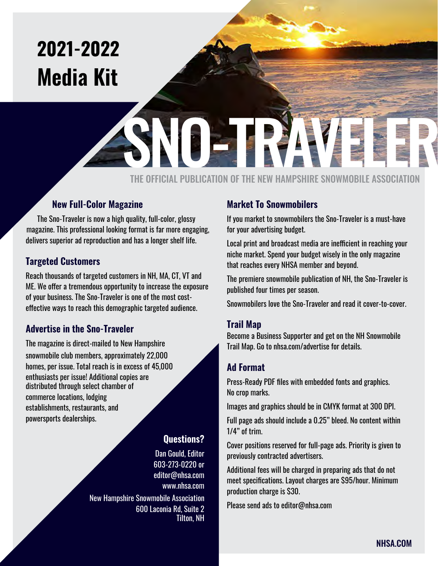### **2021-2022 Media Kit**

# SNO-TRAVEL AND THE NEW HAMPSHIPE SNOWMARIE ASSOCIATION

THE OFFICIAL PUBLICATION OF THE NEW HAMPSHIRE SNOWMOBILE ASSOCIATION

#### **New Full-Color Magazine**

The Sno-Traveler is now a high quality, full-color, glossy magazine. This professional looking format is far more engaging, delivers superior ad reproduction and has a longer shelf life.

#### **Targeted Customers**

Reach thousands of targeted customers in NH, MA, CT, VT and ME. We offer a tremendous opportunity to increase the exposure of your business. The Sno-Traveler is one of the most costeffective ways to reach this demographic targeted audience.

#### **Advertise in the Sno-Traveler**

The magazine is direct-mailed to New Hampshire snowmobile club members, approximately 22,000 homes, per issue. Total reach is in excess of 45,000 enthusiasts per issue! Additional copies are distributed through select chamber of commerce locations, lodging establishments, restaurants, and powersports dealerships.

#### **Questions?**

Dan Gould, Editor

603-273-0220 or [editor@nhsa.com](mailto:editor%40nhsa.com%20?subject=Media%20Kit) [www.nhsa.com](http://www.nhsa.com) New Hampshire Snowmobile Association 600 Laconia Rd, Suite 2 Tilton, NH

#### **Market To Snowmobilers**

If you market to snowmobilers the Sno-Traveler is a must-have for your advertising budget.

Local print and broadcast media are inefficient in reaching your niche market. Spend your budget wisely in the only magazine that reaches every NHSA member and beyond.

The premiere snowmobile publication of NH, the Sno-Traveler is published four times per season.

Snowmobilers love the Sno-Traveler and read it cover-to-cover.

#### **Trail Map**

Become a Business Supporter and get on the NH Snowmobile Trail Map. Go to nhsa.com/advertise for details.

#### **Ad Format**

Press-Ready PDF files with embedded fonts and graphics. No crop marks.

Images and graphics should be in CMYK format at 300 DPI.

Full page ads should include a 0.25" bleed. No content within 1/4" of trim.

Cover positions reserved for full-page ads. Priority is given to previously contracted advertisers.

Additional fees will be charged in preparing ads that do not meet specifications. Layout charges are \$95/hour. Minimum production charge is \$30.

Please send ads to editor@nhsa.com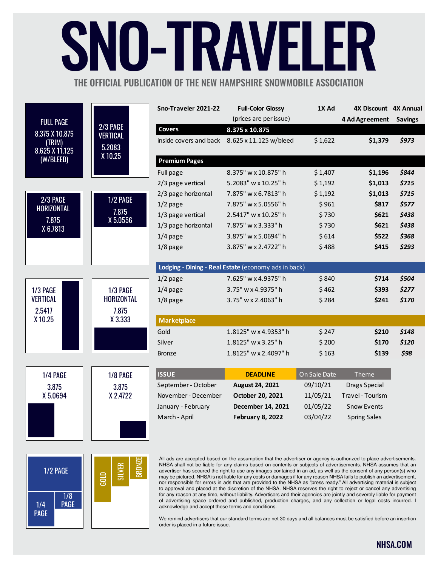## NU-IRAVF THE OFFICIAL PUBLICATION OF THE NEW HAMPSHIRE SNOWMOBILE ASSOCIATION

FULL PAGE 8.375 X 10.875 (TRIM) 8.625 X 11.125 (W/BLEED) 2/3 PAGE VERTICAL 5.2083 X 10.25 2/3 PAGE HORIZONTAL 7.875 X 6.7813 1/2 PAGE 7.875 X 5.0556 1/3 PAGE HORIZONTAL 7.875 X 3.333 1/3 PAGE VERTICAL 2.5417 X 10.25 1/4 PAGE 3.875 X 5.0694 1/8 PAGE 3.875 X 2.4722 **Sno-Traveler 2021-22 Full-Color Glossy 1X Ad 4X Discount 4X Annual** (prices are per issue) **4 Ad Agreement Savings Covers 8.375 x 10.875** inside covers and back 8.625 x 11.125 w/bleed \$ 1,622 **\$1,379** *\$973*  **Premium Pages** Full page 8.375" w x 10.875" h \$ 1,407 **\$1,196 \$844** 2/3 page vertical 5.2083" w x 10.25" h \$ 1,192 **\$1,013 \$715** 2/3 page horizontal 7.875" w x 6.7813" h \$ 1,192 **\$1,013** *\$715* 1/2 page 7.875" w x 5.0556" h \$ 961 **\$817 \$577** 1/3 page vertical 2.5417" w x 10.25" h \$ 730 **\$621** *\$438* 1/3 page horizontal 7.875" w x 3.333" h \$ 730 **\$621** *\$438* 1/4 page 3.875" w x 5.0694" h \$ 614 **\$522 \$368** 1/8 page 3.875" w x 2.4722" h \$ 488 **\$415 \$293 Lodging - Dining - Real Estate** (economy ads in back) 1/2 page 7.625" w x 4.9375" h \$ 840 **\$714 \$504** 1/4 page 3.75" w x 4.9375" h \$ 462 **\$393 \$277** 1/8 page 3.75" w x 2.4063" h \$ 284 **\$241 \$170 Marketplace** Gold 1.8125" w x 4.9353" h \$ 247 **\$210** \$148 Silver 1.8125" w x 3.25" h \$ 200 **\$170 \$120** Bronze 1.8125" w x 2.4097" h \$ 163 **\$139** *\$98* **ISSUE DEADLINE On Sale Date** Theme September - October **August 24, 2021** 09/10/21 Drags Special November - December **October 20, 2021** 11/05/21 Travel - Tourism January - February **December 14, 2021** 01/05/22 Snow Events March - April **February 8, 2022** 03/04/22 Spring Sales



All ads are accepted based on the assumption that the advertiser or agency is authorized to place advertisements. NHSA shall not be liable for any claims based on contents or subjects of advertisements. NHSA assumes that an advertiser has secured the right to use any images contained in an ad, as well as the consent of any person(s) who may be pictured. NHSA is not liable for any costs or damages if for any reason NHSA fails to publish an advertisement, nor responsible for errors in ads that are provided to the NHSA as "press ready." All advertising material is subject to approval and placed at the discretion of the NHSA. NHSA reserves the right to reject or cancel any advertising for any reason at any time, without liability. Advertisers and their agencies are jointly and severely liable for payment of advertising space ordered and published, production charges, and any collection or legal costs incurred. I acknowledge and accept these terms and conditions.

We remind advertisers that our standard terms are net 30 days and all balances must be satisfied before an insertion order is placed in a future issue.